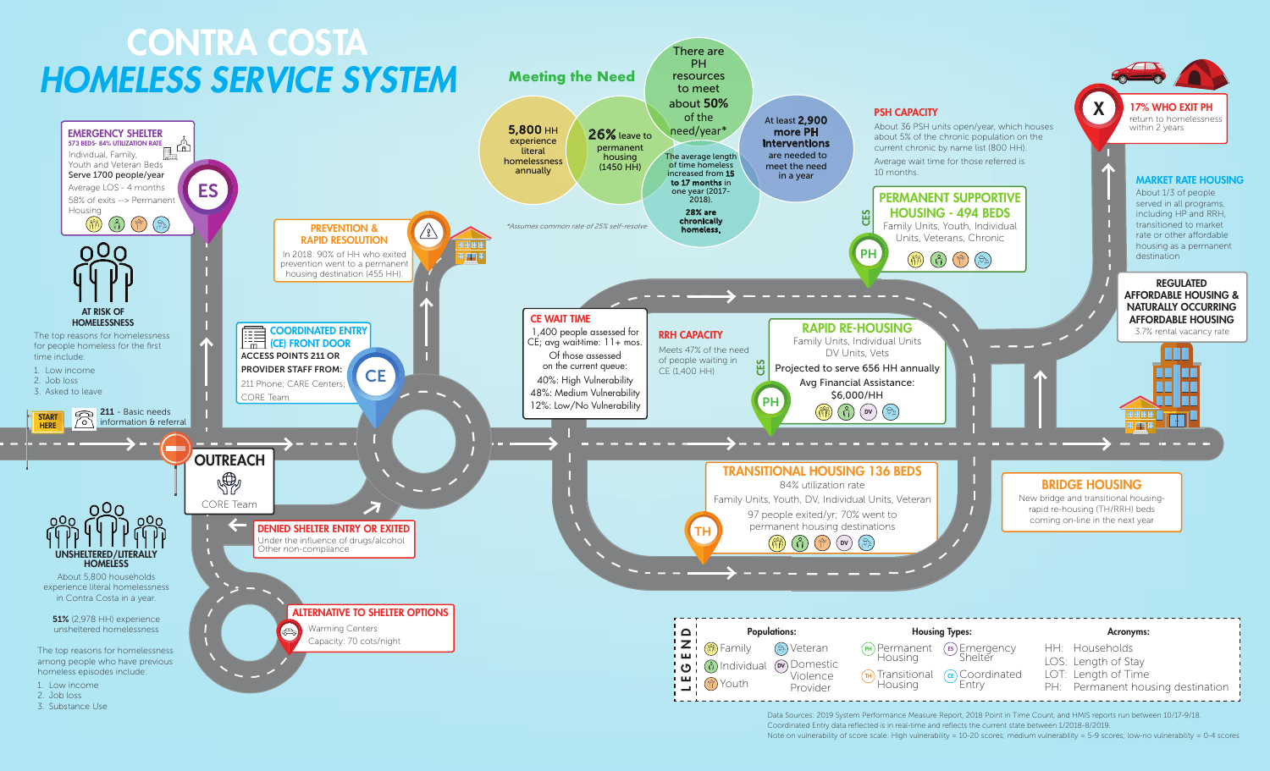

Coordinated Entry data reflected is in real-time and reflects the current state between 1/2018-8/2019. Note on vulnerability of score scale: High vulnerability = 10-20 scores; medium vulnerability = 5-9 scores; low-no vulnerability = 0-4 scores